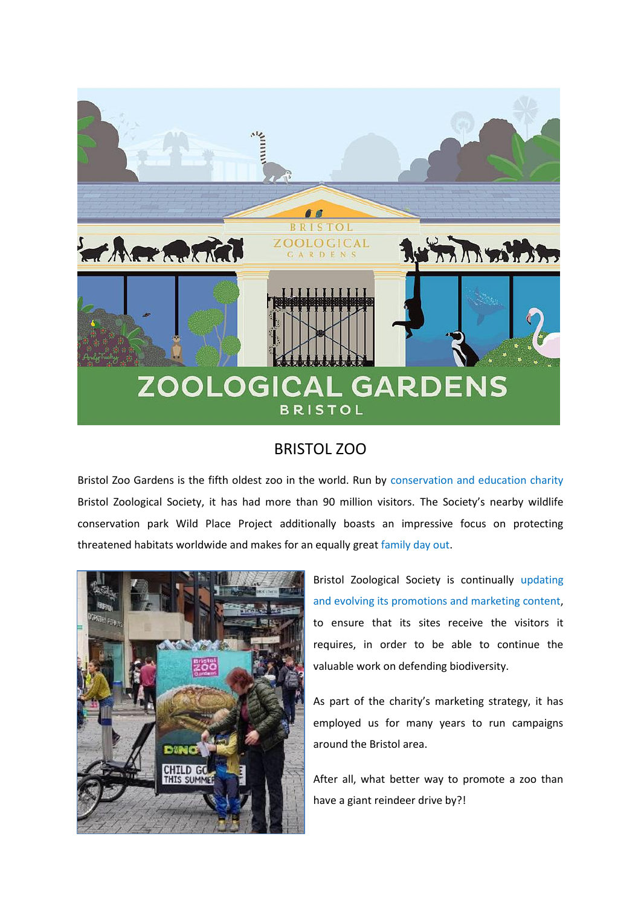

## BRISTOL ZOO

Bristol Zoo Gardens is the fifth oldest zoo in the world. Run by conservation and education charity Bristol Zoological Society, it has had more than 90 million visitors. The Society's nearby wildlife conservation park Wild Place Project additionally boasts an impressive focus on protecting threatened habitats worldwide and makes for an equally great family day out.



Bristol Zoological Society is continually updating and evolving its promotions and marketing content, to ensure that its sites receive the visitors it requires, in order to be able to continue the valuable work on defending biodiversity.

As part of the charity's marketing strategy, it has employed us for many years to run campaigns around the Bristol area.

After all, what better way to promote a zoo than have a giant reindeer drive by?!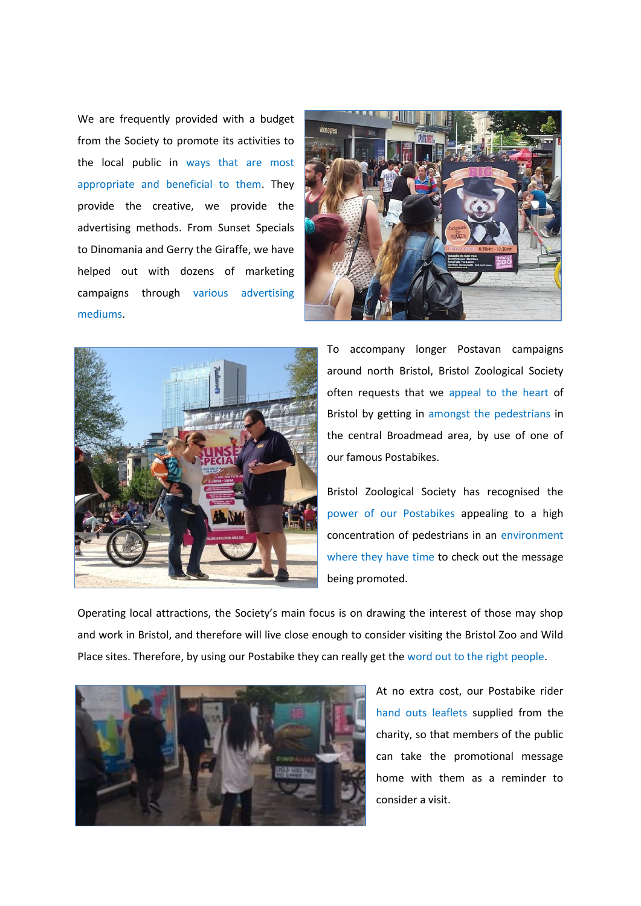We are frequently provided with a budget from the Society to promote its activities to the local public in ways that are most appropriate and beneficial to them. They provide the creative, we provide the advertising methods. From Sunset Specials to Dinomania and Gerry the Giraffe, we have helped out with dozens of marketing campaigns through various advertising mediums.





To accompany longer Postavan campaigns around north Bristol, Bristol Zoological Society often requests that we appeal to the heart of Bristol by getting in amongst the pedestrians in the central Broadmead area, by use of one of our famous Postabikes.

Bristol Zoological Society has recognised the power of our Postabikes appealing to a high concentration of pedestrians in an environment where they have time to check out the message being promoted.

Operating local attractions, the Society's main focus is on drawing the interest of those may shop and work in Bristol, and therefore will live close enough to consider visiting the Bristol Zoo and Wild Place sites. Therefore, by using our Postabike they can really get the word out to the right people.



At no extra cost, our Postabike rider hand outs leaflets supplied from the charity, so that members of the public can take the promotional message home with them as a reminder to consider a visit.